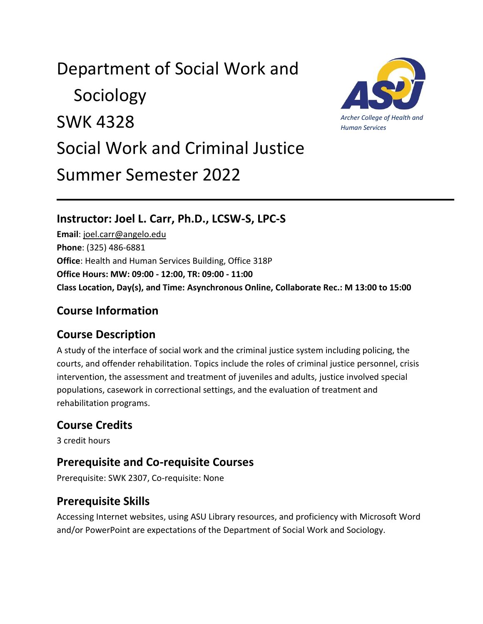# Department of Social Work and

 Sociology SWK 4328 Social Work and Criminal Justice Summer Semester 2022

#### **Instructor: Joel L. Carr, Ph.D., LCSW-S, LPC-S**

**Email**: [joel.carr@angelo.edu](mailto:joel.carr@angelo.edu) **Phone**: (325) 486-6881 **Office**: Health and Human Services Building, Office 318P **Office Hours: MW: 09:00 - 12:00, TR: 09:00 - 11:00 Class Location, Day(s), and Time: Asynchronous Online, Collaborate Rec.: M 13:00 to 15:00**

#### **Course Information**

#### **Course Description**

A study of the interface of social work and the criminal justice system including policing, the courts, and offender rehabilitation. Topics include the roles of criminal justice personnel, crisis intervention, the assessment and treatment of juveniles and adults, justice involved special populations, casework in correctional settings, and the evaluation of treatment and rehabilitation programs.

# **Course Credits**

3 credit hours

### **Prerequisite and Co-requisite Courses**

Prerequisite: SWK 2307, Co-requisite: None

### **Prerequisite Skills**

Accessing Internet websites, using ASU Library resources, and proficiency with Microsoft Word and/or PowerPoint are expectations of the Department of Social Work and Sociology.

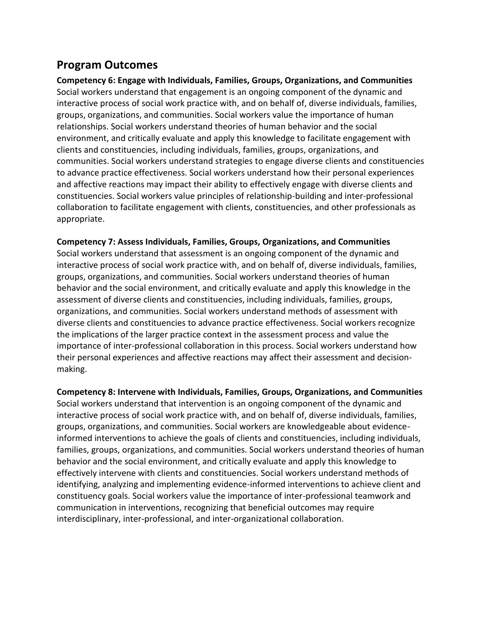#### **Program Outcomes**

**Competency 6: Engage with Individuals, Families, Groups, Organizations, and Communities** Social workers understand that engagement is an ongoing component of the dynamic and interactive process of social work practice with, and on behalf of, diverse individuals, families, groups, organizations, and communities. Social workers value the importance of human relationships. Social workers understand theories of human behavior and the social environment, and critically evaluate and apply this knowledge to facilitate engagement with clients and constituencies, including individuals, families, groups, organizations, and communities. Social workers understand strategies to engage diverse clients and constituencies to advance practice effectiveness. Social workers understand how their personal experiences and affective reactions may impact their ability to effectively engage with diverse clients and constituencies. Social workers value principles of relationship-building and inter-professional collaboration to facilitate engagement with clients, constituencies, and other professionals as appropriate.

#### **Competency 7: Assess Individuals, Families, Groups, Organizations, and Communities**

Social workers understand that assessment is an ongoing component of the dynamic and interactive process of social work practice with, and on behalf of, diverse individuals, families, groups, organizations, and communities. Social workers understand theories of human behavior and the social environment, and critically evaluate and apply this knowledge in the assessment of diverse clients and constituencies, including individuals, families, groups, organizations, and communities. Social workers understand methods of assessment with diverse clients and constituencies to advance practice effectiveness. Social workers recognize the implications of the larger practice context in the assessment process and value the importance of inter-professional collaboration in this process. Social workers understand how their personal experiences and affective reactions may affect their assessment and decisionmaking.

**Competency 8: Intervene with Individuals, Families, Groups, Organizations, and Communities** Social workers understand that intervention is an ongoing component of the dynamic and interactive process of social work practice with, and on behalf of, diverse individuals, families, groups, organizations, and communities. Social workers are knowledgeable about evidenceinformed interventions to achieve the goals of clients and constituencies, including individuals, families, groups, organizations, and communities. Social workers understand theories of human behavior and the social environment, and critically evaluate and apply this knowledge to effectively intervene with clients and constituencies. Social workers understand methods of identifying, analyzing and implementing evidence-informed interventions to achieve client and constituency goals. Social workers value the importance of inter-professional teamwork and communication in interventions, recognizing that beneficial outcomes may require interdisciplinary, inter-professional, and inter-organizational collaboration.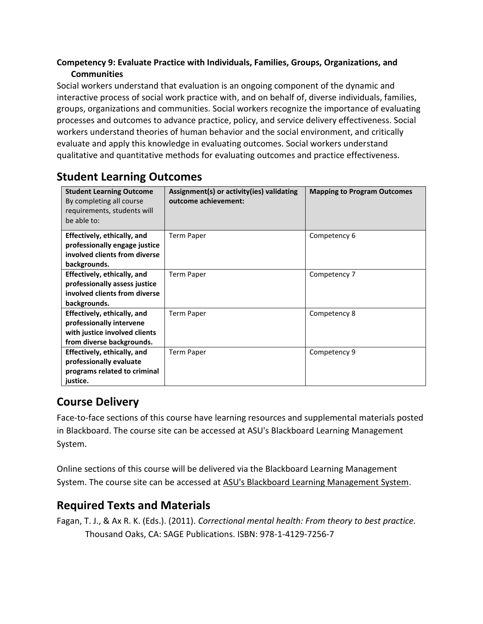#### **Competency 9: Evaluate Practice with Individuals, Families, Groups, Organizations, and Communities**

Social workers understand that evaluation is an ongoing component of the dynamic and interactive process of social work practice with, and on behalf of, diverse individuals, families, groups, organizations and communities. Social workers recognize the importance of evaluating processes and outcomes to advance practice, policy, and service delivery effectiveness. Social workers understand theories of human behavior and the social environment, and critically evaluate and apply this knowledge in evaluating outcomes. Social workers understand qualitative and quantitative methods for evaluating outcomes and practice effectiveness.

| <b>Student Learning Outcome</b><br>By completing all course<br>requirements, students will<br>be able to:             | Assignment(s) or activity(ies) validating<br>outcome achievement: | <b>Mapping to Program Outcomes</b> |
|-----------------------------------------------------------------------------------------------------------------------|-------------------------------------------------------------------|------------------------------------|
| Effectively, ethically, and<br>professionally engage justice<br>involved clients from diverse<br>backgrounds.         | <b>Term Paper</b>                                                 | Competency 6                       |
| Effectively, ethically, and<br>professionally assess justice<br>involved clients from diverse<br>backgrounds.         | <b>Term Paper</b>                                                 | Competency 7                       |
| Effectively, ethically, and<br>professionally intervene<br>with justice involved clients<br>from diverse backgrounds. | <b>Term Paper</b>                                                 | Competency 8                       |
| Effectively, ethically, and<br>professionally evaluate<br>programs related to criminal<br>justice.                    | <b>Term Paper</b>                                                 | Competency 9                       |

#### **Student Learning Outcomes**

# **Course Delivery**

Face-to-face sections of this course have learning resources and supplemental materials posted in Blackboard. The course site can be accessed at ASU's Blackboard Learning Management System.

Online sections of this course will be delivered via the Blackboard Learning Management System. The course site can be accessed at [ASU's Blackboard Learning Management System.](http://blackboard.angelo.edu/)

### **Required Texts and Materials**

Fagan, T. J., & Ax R. K. (Eds.). (2011). *Correctional mental health: From theory to best practice.* Thousand Oaks, CA: SAGE Publications. ISBN: 978-1-4129-7256-7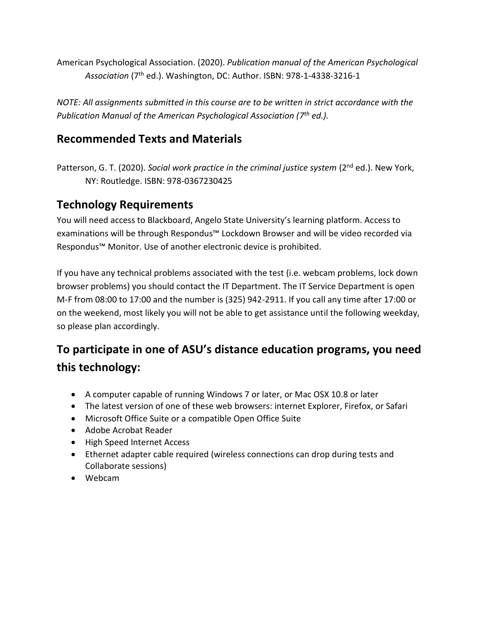American Psychological Association. (2020). *Publication manual of the American Psychological Association* (7th ed.). Washington, DC: Author. ISBN: 978-1-4338-3216-1

*NOTE: All assignments submitted in this course are to be written in strict accordance with the Publication Manual of the American Psychological Association (7 th ed.).*

#### **Recommended Texts and Materials**

Patterson, G. T. (2020). *Social work practice in the criminal justice system* (2<sup>nd</sup> ed.). New York, NY: Routledge. ISBN: 978-0367230425

#### **Technology Requirements**

You will need access to Blackboard, Angelo State University's learning platform. Access to examinations will be through Respondus™ Lockdown Browser and will be video recorded via Respondus™ Monitor. Use of another electronic device is prohibited.

If you have any technical problems associated with the test (i.e. webcam problems, lock down browser problems) you should contact the IT Department. The IT Service Department is open M-F from 08:00 to 17:00 and the number is (325) 942-2911. If you call any time after 17:00 or on the weekend, most likely you will not be able to get assistance until the following weekday, so please plan accordingly.

# **To participate in one of ASU's distance education programs, you need this technology:**

- A computer capable of running Windows 7 or later, or Mac OSX 10.8 or later
- The latest version of one of these web browsers: internet Explorer, Firefox, or Safari
- Microsoft Office Suite or a compatible Open Office Suite
- Adobe Acrobat Reader
- High Speed Internet Access
- Ethernet adapter cable required (wireless connections can drop during tests and Collaborate sessions)
- Webcam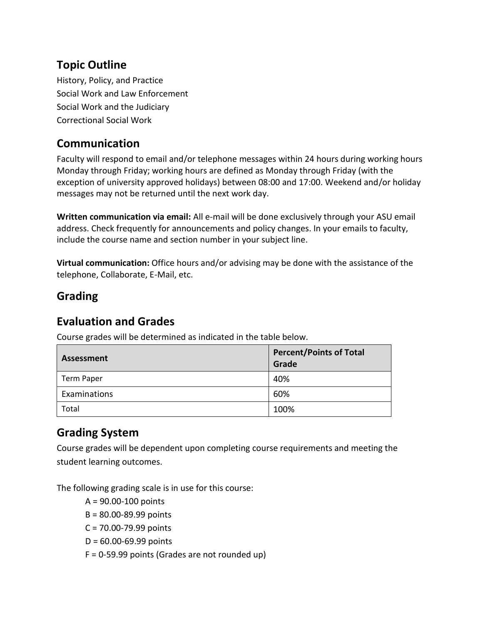#### **Topic Outline**

History, Policy, and Practice Social Work and Law Enforcement Social Work and the Judiciary Correctional Social Work

#### **Communication**

Faculty will respond to email and/or telephone messages within 24 hours during working hours Monday through Friday; working hours are defined as Monday through Friday (with the exception of university approved holidays) between 08:00 and 17:00. Weekend and/or holiday messages may not be returned until the next work day.

**Written communication via email:** All e-mail will be done exclusively through your ASU email address. Check frequently for announcements and policy changes. In your emails to faculty, include the course name and section number in your subject line.

**Virtual communication:** Office hours and/or advising may be done with the assistance of the telephone, Collaborate, E-Mail, etc.

#### **Grading**

#### **Evaluation and Grades**

Course grades will be determined as indicated in the table below.

| Assessment        | <b>Percent/Points of Total</b><br>Grade |
|-------------------|-----------------------------------------|
| <b>Term Paper</b> | 40%                                     |
| Examinations      | 60%                                     |
| Total             | 100%                                    |

### **Grading System**

Course grades will be dependent upon completing course requirements and meeting the student learning outcomes.

The following grading scale is in use for this course:

- A = 90.00-100 points
- B = 80.00-89.99 points
- C = 70.00-79.99 points
- D = 60.00-69.99 points
- F = 0-59.99 points (Grades are not rounded up)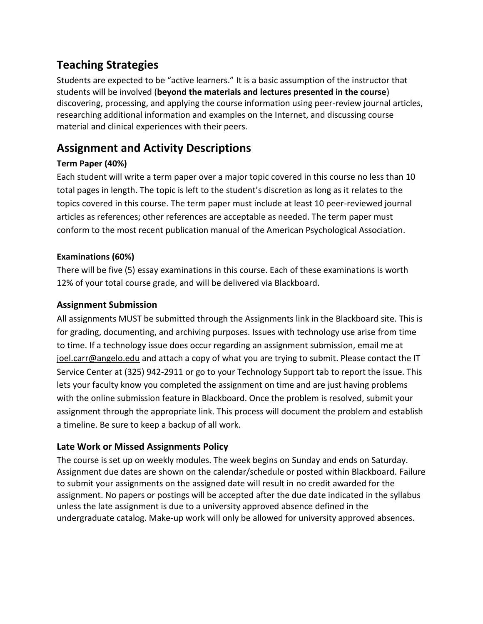### **Teaching Strategies**

Students are expected to be "active learners." It is a basic assumption of the instructor that students will be involved (**beyond the materials and lectures presented in the course**) discovering, processing, and applying the course information using peer-review journal articles, researching additional information and examples on the Internet, and discussing course material and clinical experiences with their peers.

# **Assignment and Activity Descriptions**

#### **Term Paper (40%)**

Each student will write a term paper over a major topic covered in this course no less than 10 total pages in length. The topic is left to the student's discretion as long as it relates to the topics covered in this course. The term paper must include at least 10 peer-reviewed journal articles as references; other references are acceptable as needed. The term paper must conform to the most recent publication manual of the American Psychological Association.

#### **Examinations (60%)**

There will be five (5) essay examinations in this course. Each of these examinations is worth 12% of your total course grade, and will be delivered via Blackboard.

#### **Assignment Submission**

All assignments MUST be submitted through the Assignments link in the Blackboard site. This is for grading, documenting, and archiving purposes. Issues with technology use arise from time to time. If a technology issue does occur regarding an assignment submission, email me at [joel.carr@angelo.edu](mailto:joel.carr@angelo.edu) and attach a copy of what you are trying to submit. Please contact the IT Service Center at (325) 942-2911 or go to your Technology Support tab to report the issue. This lets your faculty know you completed the assignment on time and are just having problems with the online submission feature in Blackboard. Once the problem is resolved, submit your assignment through the appropriate link. This process will document the problem and establish a timeline. Be sure to keep a backup of all work.

#### **Late Work or Missed Assignments Policy**

The course is set up on weekly modules. The week begins on Sunday and ends on Saturday. Assignment due dates are shown on the calendar/schedule or posted within Blackboard. Failure to submit your assignments on the assigned date will result in no credit awarded for the assignment. No papers or postings will be accepted after the due date indicated in the syllabus unless the late assignment is due to a university approved absence defined in the undergraduate catalog. Make-up work will only be allowed for university approved absences.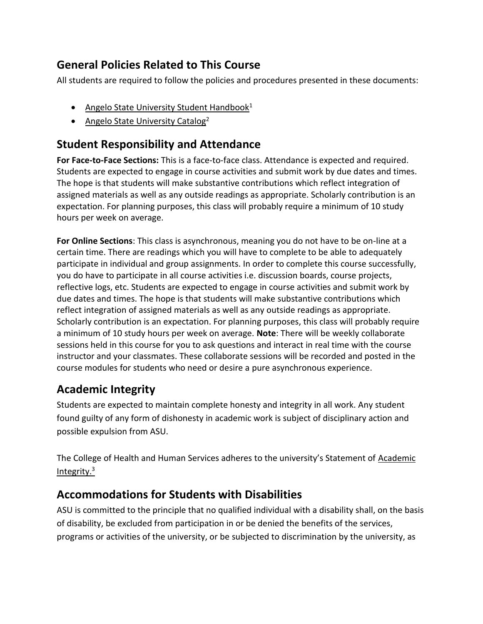# **General Policies Related to This Course**

All students are required to follow the policies and procedures presented in these documents:

- [Angelo State University Student Handbook](http://www.angelo.edu/student-handbook/)<sup>1</sup>
- [Angelo State University Catalog](http://www.angelo.edu/catalogs/)<sup>2</sup>

#### **Student Responsibility and Attendance**

**For Face-to-Face Sections:** This is a face-to-face class. Attendance is expected and required. Students are expected to engage in course activities and submit work by due dates and times. The hope is that students will make substantive contributions which reflect integration of assigned materials as well as any outside readings as appropriate. Scholarly contribution is an expectation. For planning purposes, this class will probably require a minimum of 10 study hours per week on average.

**For Online Sections**: This class is asynchronous, meaning you do not have to be on-line at a certain time. There are readings which you will have to complete to be able to adequately participate in individual and group assignments. In order to complete this course successfully, you do have to participate in all course activities i.e. discussion boards, course projects, reflective logs, etc. Students are expected to engage in course activities and submit work by due dates and times. The hope is that students will make substantive contributions which reflect integration of assigned materials as well as any outside readings as appropriate. Scholarly contribution is an expectation. For planning purposes, this class will probably require a minimum of 10 study hours per week on average. **Note**: There will be weekly collaborate sessions held in this course for you to ask questions and interact in real time with the course instructor and your classmates. These collaborate sessions will be recorded and posted in the course modules for students who need or desire a pure asynchronous experience.

# **Academic Integrity**

Students are expected to maintain complete honesty and integrity in all work. Any student found guilty of any form of dishonesty in academic work is subject of disciplinary action and possible expulsion from ASU.

The College of Health and Human Services adheres to the university's Statement of [Academic](https://www.angelo.edu/student-handbook/community-policies/academic-integrity.php)  [Integrity.](https://www.angelo.edu/student-handbook/community-policies/academic-integrity.php)<sup>3</sup>

### **Accommodations for Students with Disabilities**

ASU is committed to the principle that no qualified individual with a disability shall, on the basis of disability, be excluded from participation in or be denied the benefits of the services, programs or activities of the university, or be subjected to discrimination by the university, as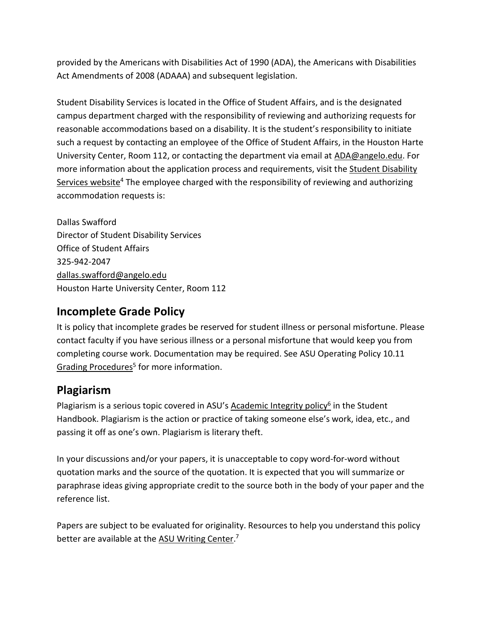provided by the Americans with Disabilities Act of 1990 (ADA), the Americans with Disabilities Act Amendments of 2008 (ADAAA) and subsequent legislation.

Student Disability Services is located in the Office of Student Affairs, and is the designated campus department charged with the responsibility of reviewing and authorizing requests for reasonable accommodations based on a disability. It is the student's responsibility to initiate such a request by contacting an employee of the Office of Student Affairs, in the Houston Harte University Center, Room 112, or contacting the department via email at [ADA@angelo.edu.](mailto:ADA@angelo.edu) For more information about the application process and requirements, visit the Student Disability [Services website](https://www.angelo.edu/services/disability-services/)<sup>4</sup> The employee charged with the responsibility of reviewing and authorizing accommodation requests is:

Dallas Swafford Director of Student Disability Services Office of Student Affairs 325-942-2047 [dallas.swafford@angelo.edu](mailto:dallas.swafford@angelo.edu) Houston Harte University Center, Room 112

#### **Incomplete Grade Policy**

It is policy that incomplete grades be reserved for student illness or personal misfortune. Please contact faculty if you have serious illness or a personal misfortune that would keep you from completing course work. Documentation may be required. See ASU Operating Policy 10.11 [Grading Procedures](https://angelo.policystat.com/policy/10659448/latest)<sup>5</sup> for more information.

#### **Plagiarism**

Plagiarism is a serious topic covered in ASU's [Academic Integrity policy](http://www.angelo.edu/student-handbook/community-policies/academic-integrity.php)<sup>6</sup> in the Student Handbook. Plagiarism is the action or practice of taking someone else's work, idea, etc., and passing it off as one's own. Plagiarism is literary theft.

In your discussions and/or your papers, it is unacceptable to copy word-for-word without quotation marks and the source of the quotation. It is expected that you will summarize or paraphrase ideas giving appropriate credit to the source both in the body of your paper and the reference list.

Papers are subject to be evaluated for originality. Resources to help you understand this policy better are available at the [ASU Writing Center.](http://www.angelo.edu/dept/writing_center/academic_honesty.php)<sup>7</sup>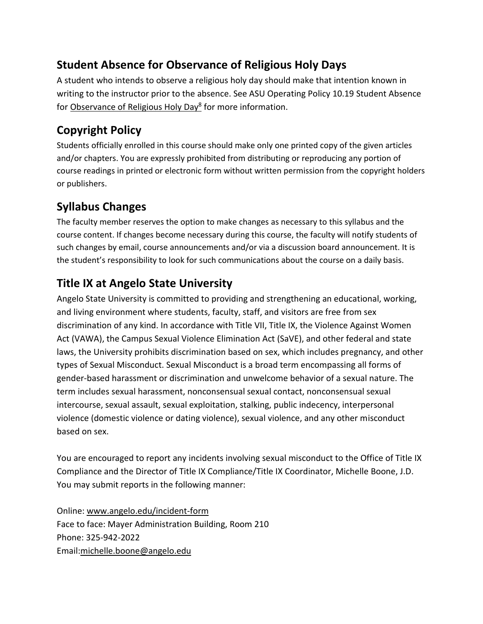# **Student Absence for Observance of Religious Holy Days**

A student who intends to observe a religious holy day should make that intention known in writing to the instructor prior to the absence. See ASU Operating Policy 10.19 Student Absence for [Observance of Religious Holy Day](https://angelo.policystat.com/policy/10659368/latest)<sup>8</sup> for more information.

# **Copyright Policy**

Students officially enrolled in this course should make only one printed copy of the given articles and/or chapters. You are expressly prohibited from distributing or reproducing any portion of course readings in printed or electronic form without written permission from the copyright holders or publishers.

# **Syllabus Changes**

The faculty member reserves the option to make changes as necessary to this syllabus and the course content. If changes become necessary during this course, the faculty will notify students of such changes by email, course announcements and/or via a discussion board announcement. It is the student's responsibility to look for such communications about the course on a daily basis.

# **Title IX at Angelo State University**

Angelo State University is committed to providing and strengthening an educational, working, and living environment where students, faculty, staff, and visitors are free from sex discrimination of any kind. In accordance with Title VII, Title IX, the Violence Against Women Act (VAWA), the Campus Sexual Violence Elimination Act (SaVE), and other federal and state laws, the University prohibits discrimination based on sex, which includes pregnancy, and other types of Sexual Misconduct. Sexual Misconduct is a broad term encompassing all forms of gender-based harassment or discrimination and unwelcome behavior of a sexual nature. The term includes sexual harassment, nonconsensual sexual contact, nonconsensual sexual intercourse, sexual assault, sexual exploitation, stalking, public indecency, interpersonal violence (domestic violence or dating violence), sexual violence, and any other misconduct based on sex.

You are encouraged to report any incidents involving sexual misconduct to the Office of Title IX Compliance and the Director of Title IX Compliance/Title IX Coordinator, Michelle Boone, J.D. You may submit reports in the following manner:

Online: [www.angelo.edu/incident-form](http://www.angelo.edu/incident-form) Face to face: Mayer Administration Building, Room 210 Phone: 325-942-2022 Email[:michelle.boone@angelo.edu](mailto:michelle.boone@angelo.edu)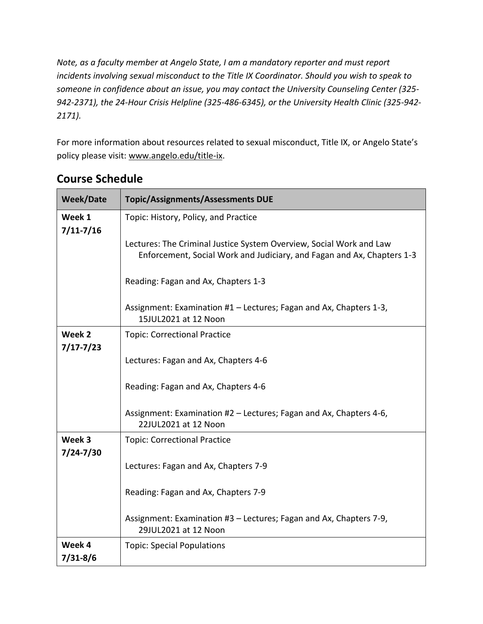*Note, as a faculty member at Angelo State, I am a mandatory reporter and must report incidents involving sexual misconduct to the Title IX Coordinator. Should you wish to speak to someone in confidence about an issue, you may contact the University Counseling Center (325- 942-2371), the 24-Hour Crisis Helpline (325-486-6345), or the University Health Clinic (325-942- 2171).*

For more information about resources related to sexual misconduct, Title IX, or Angelo State's policy please visit: [www.angelo.edu/title-ix.](http://www.angelo.edu/title-ix)

| <b>Week/Date</b>        | <b>Topic/Assignments/Assessments DUE</b>                                                                                                      |  |
|-------------------------|-----------------------------------------------------------------------------------------------------------------------------------------------|--|
| Week 1<br>$7/11 - 7/16$ | Topic: History, Policy, and Practice                                                                                                          |  |
|                         | Lectures: The Criminal Justice System Overview, Social Work and Law<br>Enforcement, Social Work and Judiciary, and Fagan and Ax, Chapters 1-3 |  |
|                         | Reading: Fagan and Ax, Chapters 1-3                                                                                                           |  |
|                         | Assignment: Examination #1 – Lectures; Fagan and Ax, Chapters 1-3,<br>15JUL2021 at 12 Noon                                                    |  |
| Week 2                  | <b>Topic: Correctional Practice</b>                                                                                                           |  |
| $7/17 - 7/23$           | Lectures: Fagan and Ax, Chapters 4-6                                                                                                          |  |
|                         |                                                                                                                                               |  |
|                         | Reading: Fagan and Ax, Chapters 4-6                                                                                                           |  |
|                         | Assignment: Examination #2 – Lectures; Fagan and Ax, Chapters 4-6,<br>22JUL2021 at 12 Noon                                                    |  |
| Week 3                  | <b>Topic: Correctional Practice</b>                                                                                                           |  |
| $7/24 - 7/30$           | Lectures: Fagan and Ax, Chapters 7-9                                                                                                          |  |
|                         | Reading: Fagan and Ax, Chapters 7-9                                                                                                           |  |
|                         | Assignment: Examination #3 - Lectures; Fagan and Ax, Chapters 7-9,<br>29JUL2021 at 12 Noon                                                    |  |
| Week 4                  | <b>Topic: Special Populations</b>                                                                                                             |  |
| $7/31 - 8/6$            |                                                                                                                                               |  |

# **Course Schedule**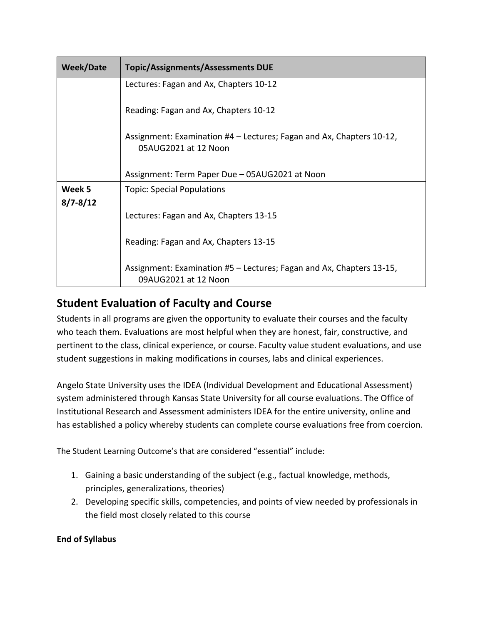| <b>Week/Date</b> | <b>Topic/Assignments/Assessments DUE</b>                                                     |
|------------------|----------------------------------------------------------------------------------------------|
|                  | Lectures: Fagan and Ax, Chapters 10-12                                                       |
|                  | Reading: Fagan and Ax, Chapters 10-12                                                        |
|                  | Assignment: Examination #4 - Lectures; Fagan and Ax, Chapters 10-12,<br>05AUG2021 at 12 Noon |
|                  | Assignment: Term Paper Due - 05AUG2021 at Noon                                               |
| Week 5           | <b>Topic: Special Populations</b>                                                            |
| $8/7 - 8/12$     | Lectures: Fagan and Ax, Chapters 13-15                                                       |
|                  | Reading: Fagan and Ax, Chapters 13-15                                                        |
|                  | Assignment: Examination #5 – Lectures; Fagan and Ax, Chapters 13-15,<br>09AUG2021 at 12 Noon |

### **Student Evaluation of Faculty and Course**

Students in all programs are given the opportunity to evaluate their courses and the faculty who teach them. Evaluations are most helpful when they are honest, fair, constructive, and pertinent to the class, clinical experience, or course. Faculty value student evaluations, and use student suggestions in making modifications in courses, labs and clinical experiences.

Angelo State University uses the IDEA (Individual Development and Educational Assessment) system administered through Kansas State University for all course evaluations. The Office of Institutional Research and Assessment administers IDEA for the entire university, online and has established a policy whereby students can complete course evaluations free from coercion.

The Student Learning Outcome's that are considered "essential" include:

- 1. Gaining a basic understanding of the subject (e.g., factual knowledge, methods, principles, generalizations, theories)
- 2. Developing specific skills, competencies, and points of view needed by professionals in the field most closely related to this course

#### **End of Syllabus**